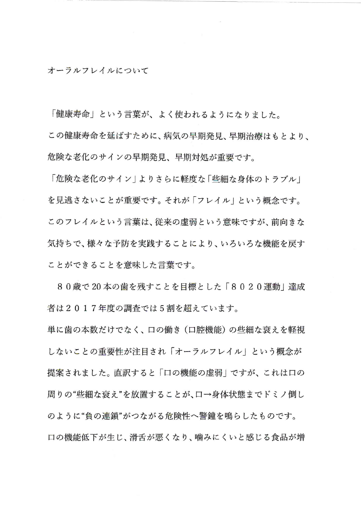オーラルフレイルについて

「健康寿命」という言葉が、よく使われるようになりました。

この健康寿命を延ばすために、病気の早期発見、早期治療はもとより、 危険な老化のサインの早期発見、早期対処が重要です。

「危険な老化のサイン | よりさらに軽度な 「些細な身体のトラブル」 を見逃さないことが重要です。それが「フレイル」という概念です。 このフレイルという言葉は、従来の虚弱という意味ですが、前向きな 気持ちで、様々な予防を実践することにより、いろいろな機能を戻す ことができることを意味した言葉です。

80歳で20本の歯を残すことを目標とした「8020運動」達成 者は2017年度の調査では5割を超えています。

単に歯の本数だけでなく、口の働き (口腔機能) の些細な衰えを軽視 しないことの重要性が注目され「オーラルフレイル」という概念が 提案されました。直訳すると「口の機能の虚弱」ですが、これは口の 周りの"些細な衰え"を放置することが、口→身体状態までドミノ倒し のように"負の連鎖"がつながる危険性へ警鐘を鳴らしたものです。 口の機能低下が生じ、滑舌が悪くなり、噛みにくいと感じる食品が増